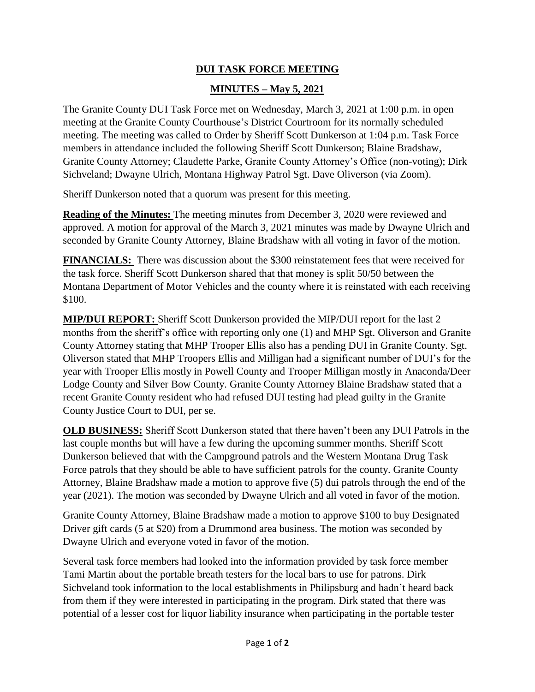## **DUI TASK FORCE MEETING**

## **MINUTES – May 5, 2021**

The Granite County DUI Task Force met on Wednesday, March 3, 2021 at 1:00 p.m. in open meeting at the Granite County Courthouse's District Courtroom for its normally scheduled meeting. The meeting was called to Order by Sheriff Scott Dunkerson at 1:04 p.m. Task Force members in attendance included the following Sheriff Scott Dunkerson; Blaine Bradshaw, Granite County Attorney; Claudette Parke, Granite County Attorney's Office (non-voting); Dirk Sichveland; Dwayne Ulrich, Montana Highway Patrol Sgt. Dave Oliverson (via Zoom).

Sheriff Dunkerson noted that a quorum was present for this meeting.

**Reading of the Minutes:** The meeting minutes from December 3, 2020 were reviewed and approved. A motion for approval of the March 3, 2021 minutes was made by Dwayne Ulrich and seconded by Granite County Attorney, Blaine Bradshaw with all voting in favor of the motion.

**FINANCIALS:** There was discussion about the \$300 reinstatement fees that were received for the task force. Sheriff Scott Dunkerson shared that that money is split 50/50 between the Montana Department of Motor Vehicles and the county where it is reinstated with each receiving \$100.

**MIP/DUI REPORT:** Sheriff Scott Dunkerson provided the MIP/DUI report for the last 2 months from the sheriff's office with reporting only one (1) and MHP Sgt. Oliverson and Granite County Attorney stating that MHP Trooper Ellis also has a pending DUI in Granite County. Sgt. Oliverson stated that MHP Troopers Ellis and Milligan had a significant number of DUI's for the year with Trooper Ellis mostly in Powell County and Trooper Milligan mostly in Anaconda/Deer Lodge County and Silver Bow County. Granite County Attorney Blaine Bradshaw stated that a recent Granite County resident who had refused DUI testing had plead guilty in the Granite County Justice Court to DUI, per se.

**OLD BUSINESS:** Sheriff Scott Dunkerson stated that there haven't been any DUI Patrols in the last couple months but will have a few during the upcoming summer months. Sheriff Scott Dunkerson believed that with the Campground patrols and the Western Montana Drug Task Force patrols that they should be able to have sufficient patrols for the county. Granite County Attorney, Blaine Bradshaw made a motion to approve five (5) dui patrols through the end of the year (2021). The motion was seconded by Dwayne Ulrich and all voted in favor of the motion.

Granite County Attorney, Blaine Bradshaw made a motion to approve \$100 to buy Designated Driver gift cards (5 at \$20) from a Drummond area business. The motion was seconded by Dwayne Ulrich and everyone voted in favor of the motion.

Several task force members had looked into the information provided by task force member Tami Martin about the portable breath testers for the local bars to use for patrons. Dirk Sichveland took information to the local establishments in Philipsburg and hadn't heard back from them if they were interested in participating in the program. Dirk stated that there was potential of a lesser cost for liquor liability insurance when participating in the portable tester